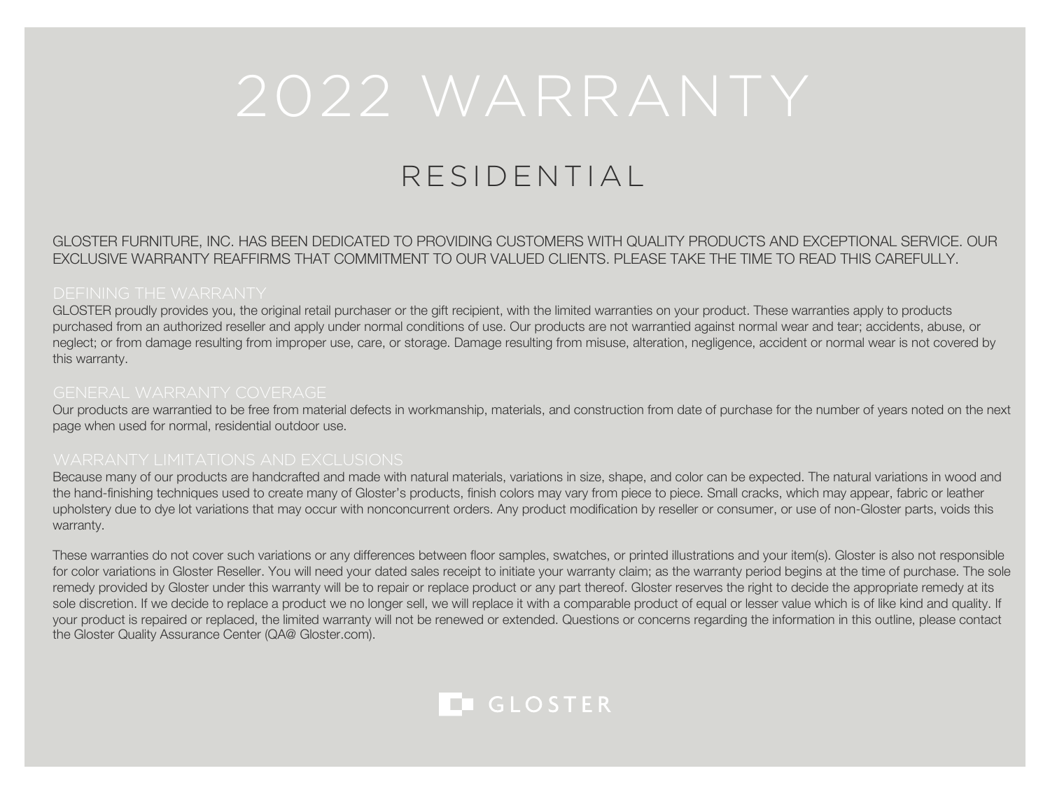# RESIDENTIAL

GLOSTER FURNITURE, INC. HAS BEEN DEDICATED TO PROVIDING CUSTOMERS WITH QUALITY PRODUCTS AND EXCEPTIONAL SERVICE. OUR EXCLUSIVE WARRANTY REAFFIRMS THAT COMMITMENT TO OUR VALUED CLIENTS. PLEASE TAKE THE TIME TO READ THIS CAREFULLY.

GLOSTER proudly provides you, the original retail purchaser or the gift recipient, with the limited warranties on your product. These warranties apply to products purchased from an authorized reseller and apply under normal conditions of use. Our products are not warrantied against normal wear and tear; accidents, abuse, or neglect; or from damage resulting from improper use, care, or storage. Damage resulting from misuse, alteration, negligence, accident or normal wear is not covered by this warranty.

Our products are warrantied to be free from material defects in workmanship, materials, and construction from date of purchase for the number of years noted on the next page when used for normal, residential outdoor use.

Because many of our products are handcrafted and made with natural materials, variations in size, shape, and color can be expected. The natural variations in wood and the hand-finishing techniques used to create many of Gloster's products, finish colors may vary from piece to piece. Small cracks, which may appear, fabric or leather upholstery due to dye lot variations that may occur with nonconcurrent orders. Any product modification by reseller or consumer, or use of non-Gloster parts, voids this warranty.

These warranties do not cover such variations or any differences between floor samples, swatches, or printed illustrations and your item(s). Gloster is also not responsible for color variations in Gloster Reseller. You will need your dated sales receipt to initiate your warranty claim; as the warranty period begins at the time of purchase. The sole remedy provided by Gloster under this warranty will be to repair or replace product or any part thereof. Gloster reserves the right to decide the appropriate remedy at its sole discretion. If we decide to replace a product we no longer sell, we will replace it with a comparable product of equal or lesser value which is of like kind and quality. If your product is repaired or replaced, the limited warranty will not be renewed or extended. Questions or concerns regarding the information in this outline, please contact the Gloster Quality Assurance Center (QA@ Gloster.com).

### **LEGLOSTER**